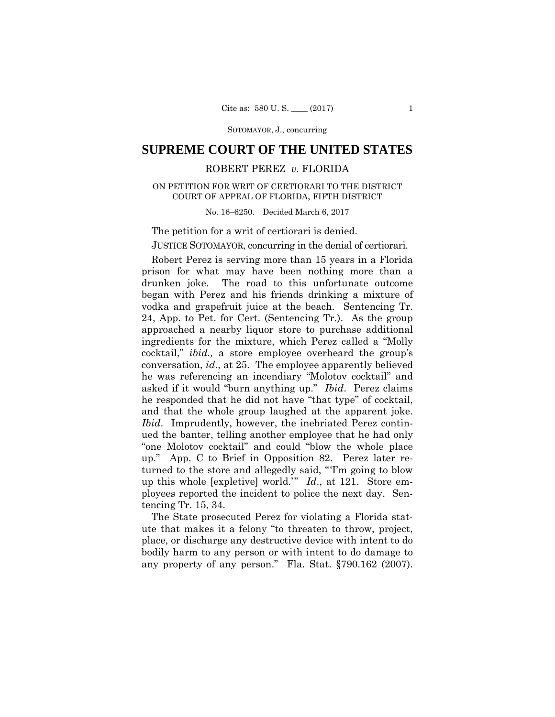SOTOMAYOR, J., concurring

## **SUPREME COURT OF THE UNITED STATES**

### ROBERT PEREZ *v.* FLORIDA

# COURT OF APPEAL OF FLORIDA, FIFTH DISTRICT<br>No. 16–6250. Decided March 6, 2017 ON PETITION FOR WRIT OF CERTIORARI TO THE DISTRICT

The petition for a writ of certiorari is denied.

JUSTICE SOTOMAYOR, concurring in the denial of certiorari.

Robert Perez is serving more than 15 years in a Florida prison for what may have been nothing more than a drunken joke. The road to this unfortunate outcome began with Perez and his friends drinking a mixture of vodka and grapefruit juice at the beach. Sentencing Tr. 24, App. to Pet. for Cert. (Sentencing Tr.). As the group approached a nearby liquor store to purchase additional ingredients for the mixture, which Perez called a "Molly cocktail," *ibid.,* a store employee overheard the group's conversation, *id*., at 25. The employee apparently believed he was referencing an incendiary "Molotov cocktail" and asked if it would "burn anything up." *Ibid*. Perez claims he responded that he did not have "that type" of cocktail, and that the whole group laughed at the apparent joke. *Ibid*. Imprudently, however, the inebriated Perez continued the banter, telling another employee that he had only "one Molotov cocktail" and could "blow the whole place up." App. C to Brief in Opposition 82. Perez later returned to the store and allegedly said, "'I'm going to blow up this whole [expletive] world.'" *Id*., at 121. Store employees reported the incident to police the next day. Sentencing Tr. 15, 34.

 any property of any person." Fla. Stat. §790.162 (2007). The State prosecuted Perez for violating a Florida statute that makes it a felony "to threaten to throw, project, place, or discharge any destructive device with intent to do bodily harm to any person or with intent to do damage to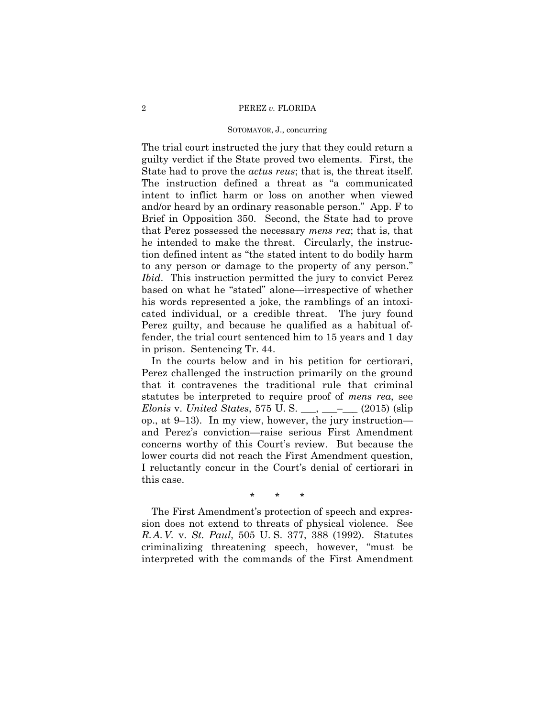#### 2 PEREZ *v.* FLORIDA

#### SOTOMAYOR, J., concurring

The trial court instructed the jury that they could return a guilty verdict if the State proved two elements. First, the State had to prove the *actus reus*; that is, the threat itself. The instruction defined a threat as "a communicated intent to inflict harm or loss on another when viewed and/or heard by an ordinary reasonable person." App. F to Brief in Opposition 350. Second, the State had to prove that Perez possessed the necessary *mens rea*; that is, that he intended to make the threat. Circularly, the instruction defined intent as "the stated intent to do bodily harm to any person or damage to the property of any person." *Ibid*. This instruction permitted the jury to convict Perez based on what he "stated" alone—irrespective of whether his words represented a joke, the ramblings of an intoxicated individual, or a credible threat. The jury found Perez guilty, and because he qualified as a habitual offender, the trial court sentenced him to 15 years and 1 day in prison. Sentencing Tr. 44.

In the courts below and in his petition for certiorari, Perez challenged the instruction primarily on the ground that it contravenes the traditional rule that criminal statutes be interpreted to require proof of *mens rea*, see *Elonis* v. *United States*, 575 U. S. \_\_\_, \_\_\_–\_\_\_ (2015) (slip op., at 9–13). In my view, however, the jury instruction and Perez's conviction—raise serious First Amendment concerns worthy of this Court's review. But because the lower courts did not reach the First Amendment question, I reluctantly concur in the Court's denial of certiorari in this case.

\* \* \*

 *R.A.V.* v. *St. Paul*, 505 U. S. 377, 388 (1992). Statutes The First Amendment's protection of speech and expression does not extend to threats of physical violence. See criminalizing threatening speech, however, "must be interpreted with the commands of the First Amendment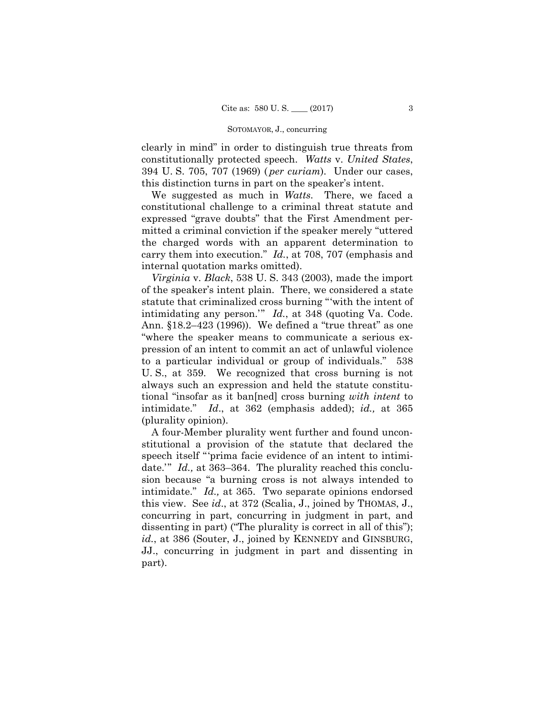#### SOTOMAYOR, J., concurring

clearly in mind" in order to distinguish true threats from constitutionally protected speech. *Watts* v. *United States*, 394 U. S. 705, 707 (1969) ( *per curiam*). Under our cases, this distinction turns in part on the speaker's intent.

We suggested as much in *Watts*. There, we faced a constitutional challenge to a criminal threat statute and expressed "grave doubts" that the First Amendment permitted a criminal conviction if the speaker merely "uttered the charged words with an apparent determination to carry them into execution." *Id.*, at 708, 707 (emphasis and internal quotation marks omitted).

*Virginia* v. *Black*, 538 U. S. 343 (2003), made the import of the speaker's intent plain. There, we considered a state statute that criminalized cross burning "'with the intent of intimidating any person.'" *Id.*, at 348 (quoting Va. Code. Ann. §18.2–423 (1996)). We defined a "true threat" as one "where the speaker means to communicate a serious expression of an intent to commit an act of unlawful violence to a particular individual or group of individuals." 538 U. S., at 359. We recognized that cross burning is not always such an expression and held the statute constitutional "insofar as it ban[ned] cross burning *with intent* to intimidate." *Id*., at 362 (emphasis added); *id.,* at 365 (plurality opinion).

A four-Member plurality went further and found unconstitutional a provision of the statute that declared the speech itself "'prima facie evidence of an intent to intimidate.'" *Id.*, at 363–364. The plurality reached this conclusion because "a burning cross is not always intended to intimidate." *Id.,* at 365. Two separate opinions endorsed this view. See *id*., at 372 (Scalia, J., joined by THOMAS, J., concurring in part, concurring in judgment in part, and dissenting in part) ("The plurality is correct in all of this"); *id.*, at 386 (Souter, J., joined by KENNEDY and GINSBURG, JJ., concurring in judgment in part and dissenting in part).